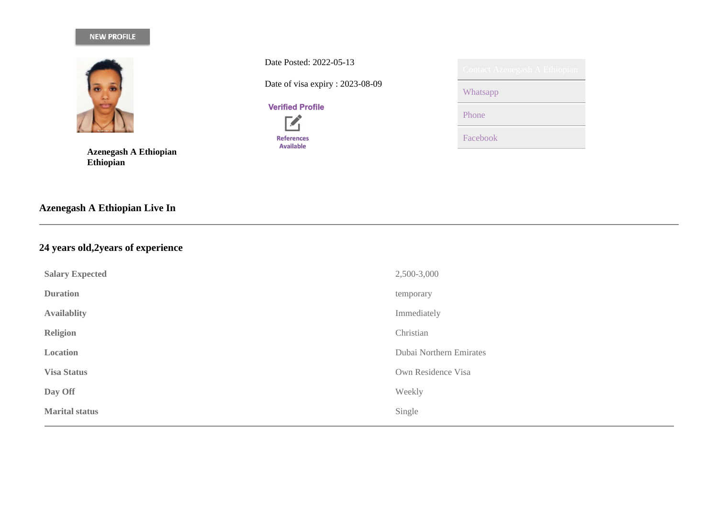# NEW PROFILE



**Azenegash A Ethiopian Ethiopian**

**Azenegash A Ethiopian Live In**

# **24 years old,2years of experience**

| <b>Salary Expected</b> | 2,500-3,000             |
|------------------------|-------------------------|
| <b>Duration</b>        | temporary               |
| <b>Availablity</b>     | Immediately             |
| <b>Religion</b>        | Christian               |
| Location               | Dubai Northern Emirates |
| <b>Visa Status</b>     | Own Residence Visa      |
| Day Off                | Weekly                  |
| <b>Marital status</b>  | Single                  |
|                        |                         |

Date Posted: 2022-05-13

Date of visa expiry : 2023-08-09

**Verified Profile** 

 $\overrightarrow{a}$ **References** Available

| Contact Azenegash A Ethiopian |
|-------------------------------|
| Whatsapp                      |
| Phone                         |
| Facebook                      |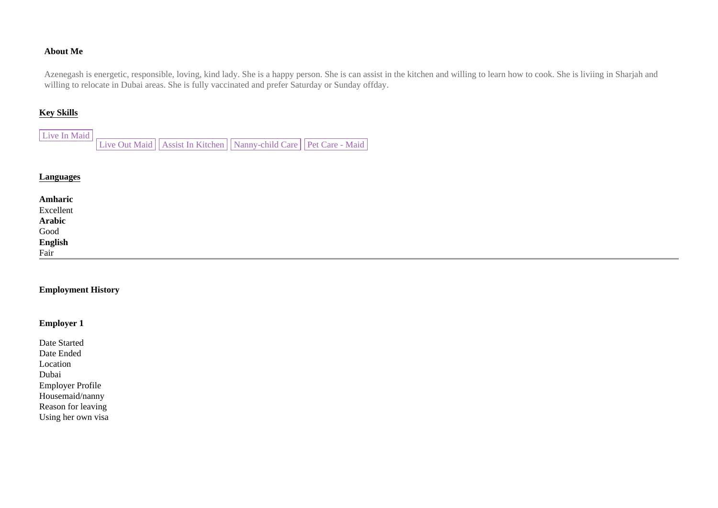### **About Me**

Azenegash is energetic, responsible, loving, kind lady. She is a happy person. She is can assist in the kitchen and willing to learn how to cook. She is liviing in Sharjah and willing to relocate in Dubai areas. She is fully vaccinated and prefer Saturday or Sunday offday.

## **Key Skills**

Live In Maid Live Out Maid Assist In Kitchen Nanny-child Care | Pet Care - Maid

#### **Languages**

| Amharic<br>Excellent<br>Arabic<br>Good<br>English<br>Fair |  |  |
|-----------------------------------------------------------|--|--|

#### **Employment History**

## **Employer 1**

| Date Started            |
|-------------------------|
| Date Ended              |
| Location                |
| Dubai                   |
| <b>Employer Profile</b> |
| Housemaid/nanny         |
| Reason for leaving      |
| Using her own visa      |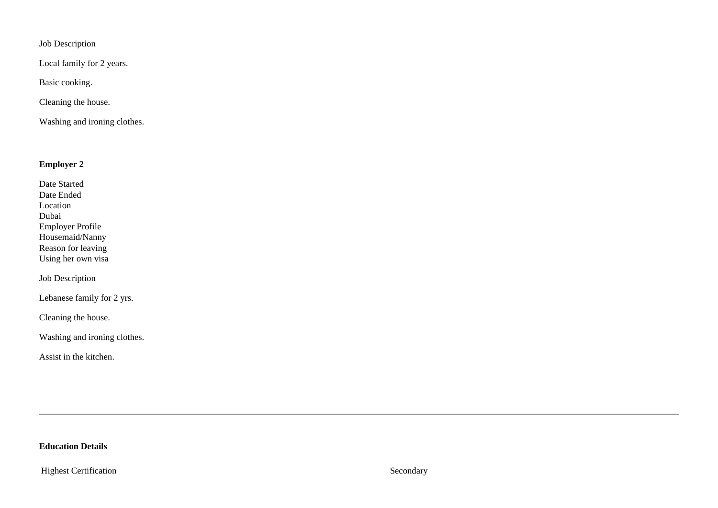Job Description

Local family for 2 years.

Basic cooking.

Cleaning the house.

Washing and ironing clothes.

## **Employer 2**

| Date Started            |
|-------------------------|
| Date Ended              |
| Location                |
| Dubai                   |
| <b>Employer Profile</b> |
| Housemaid/Nanny         |
| Reason for leaving      |
| Using her own visa      |

Job Description

Lebanese family for 2 yrs.

Cleaning the house.

Washing and ironing clothes.

Assist in the kitchen.

# **Education Details**

Highest Certification Secondary